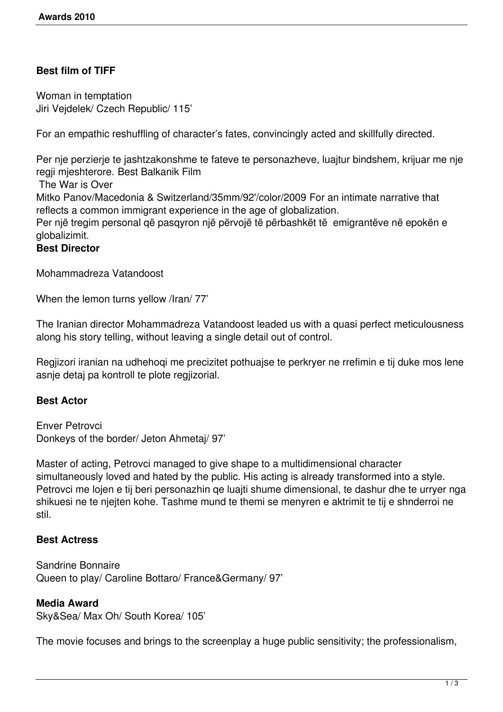# **Best film of TIFF**

Woman in temptation Jiri Vejdelek/ Czech Republic/ 115'

For an empathic reshuffling of character's fates, convincingly acted and skillfully directed.

Per nje perzierje te jashtzakonshme te fateve te personazheve, luajtur bindshem, krijuar me nje regji mjeshterore. Best Balkanik Film

The War is Over

Mitko Panov/Macedonia & Switzerland/35mm/92'/color/2009 For an intimate narrative that reflects a common immigrant experience in the age of globalization.

Per një tregim personal që pasqyron një përvojë të përbashkët të emigrantëve në epokën e globalizimit.

### **Best Director**

Mohammadreza Vatandoost

When the lemon turns yellow /Iran/ 77'

The Iranian director Mohammadreza Vatandoost leaded us with a quasi perfect meticulousness along his story telling, without leaving a single detail out of control.

Regjizori iranian na udhehoqi me precizitet pothuajse te perkryer ne rrefimin e tij duke mos lene asnje detaj pa kontroll te plote regjizorial.

## **Best Actor**

Enver Petrovci Donkeys of the border/ Jeton Ahmetaj/ 97'

Master of acting, Petrovci managed to give shape to a multidimensional character simultaneously loved and hated by the public. His acting is already transformed into a style. Petrovci me lojen e tij beri personazhin qe luajti shume dimensional, te dashur dhe te urryer nga shikuesi ne te njejten kohe. Tashme mund te themi se menyren e aktrimit te tij e shnderroi ne stil.

#### **Best Actress**

Sandrine Bonnaire Queen to play/ Caroline Bottaro/ France&Germany/ 97'

#### **Media Award**

Sky&Sea/ Max Oh/ South Korea/ 105'

The movie focuses and brings to the screenplay a huge public sensitivity; the professionalism,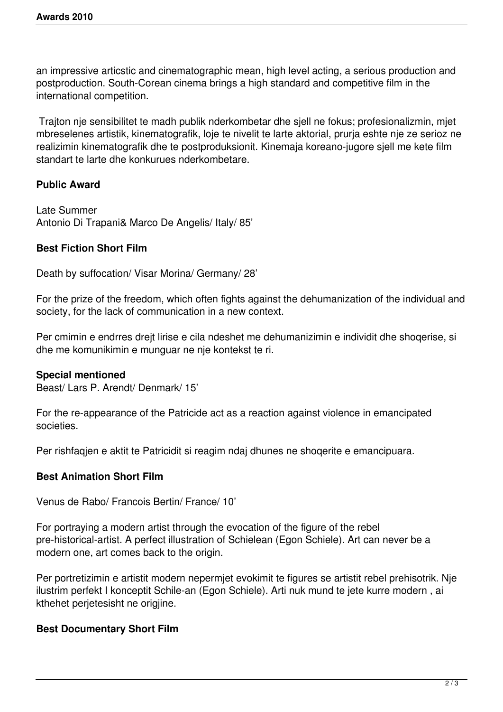an impressive articstic and cinematographic mean, high level acting, a serious production and postproduction. South-Corean cinema brings a high standard and competitive film in the international competition.

 Trajton nje sensibilitet te madh publik nderkombetar dhe sjell ne fokus; profesionalizmin, mjet mbreselenes artistik, kinematografik, loje te nivelit te larte aktorial, prurja eshte nje ze serioz ne realizimin kinematografik dhe te postproduksionit. Kinemaja koreano-jugore sjell me kete film standart te larte dhe konkurues nderkombetare.

# **Public Award**

Late Summer Antonio Di Trapani& Marco De Angelis/ Italy/ 85'

# **Best Fiction Short Film**

Death by suffocation/ Visar Morina/ Germany/ 28'

For the prize of the freedom, which often fights against the dehumanization of the individual and society, for the lack of communication in a new context.

Per cmimin e endrres drejt lirise e cila ndeshet me dehumanizimin e individit dhe shoqerise, si dhe me komunikimin e munguar ne nje kontekst te ri.

## **Special mentioned**

Beast/ Lars P. Arendt/ Denmark/ 15'

For the re-appearance of the Patricide act as a reaction against violence in emancipated societies.

Per rishfaqjen e aktit te Patricidit si reagim ndaj dhunes ne shoqerite e emancipuara.

## **Best Animation Short Film**

Venus de Rabo/ Francois Bertin/ France/ 10'

For portraying a modern artist through the evocation of the figure of the rebel pre-historical-artist. A perfect illustration of Schielean (Egon Schiele). Art can never be a modern one, art comes back to the origin.

Per portretizimin e artistit modern nepermjet evokimit te figures se artistit rebel prehisotrik. Nje ilustrim perfekt I konceptit Schile-an (Egon Schiele). Arti nuk mund te jete kurre modern , ai kthehet perjetesisht ne origjine.

## **Best Documentary Short Film**